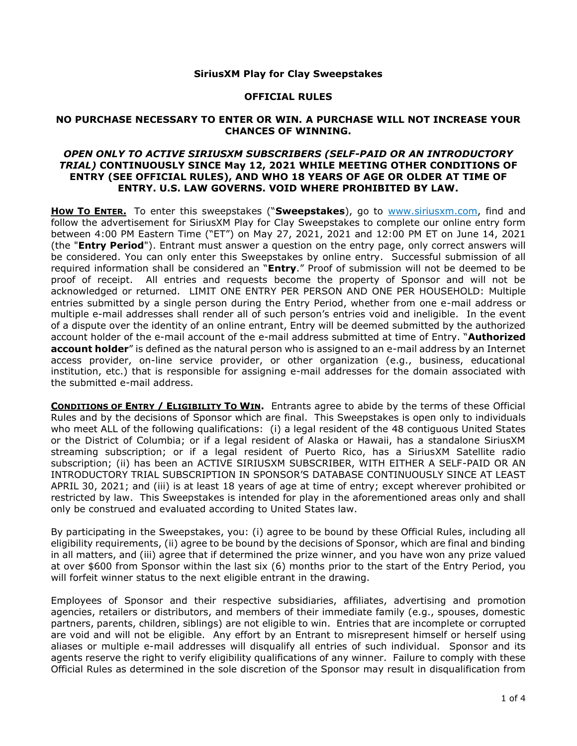### **SiriusXM Play for Clay Sweepstakes**

### **OFFICIAL RULES**

### **NO PURCHASE NECESSARY TO ENTER OR WIN. A PURCHASE WILL NOT INCREASE YOUR CHANCES OF WINNING.**

## *OPEN ONLY TO ACTIVE SIRIUSXM SUBSCRIBERS (SELF-PAID OR AN INTRODUCTORY TRIAL)* **CONTINUOUSLY SINCE May 12, 2021 WHILE MEETING OTHER CONDITIONS OF ENTRY (SEE OFFICIAL RULES), AND WHO 18 YEARS OF AGE OR OLDER AT TIME OF ENTRY. U.S. LAW GOVERNS. VOID WHERE PROHIBITED BY LAW.**

**HOW TO ENTER.** To enter this sweepstakes ("**Sweepstakes**), go to [www.siriusxm.com,](http://www.siriusxm.com/) find and follow the advertisement for SiriusXM Play for Clay Sweepstakes to complete our online entry form between 4:00 PM Eastern Time ("ET") on May 27, 2021, 2021 and 12:00 PM ET on June 14, 2021 (the "**Entry Period**"). Entrant must answer a question on the entry page, only correct answers will be considered. You can only enter this Sweepstakes by online entry. Successful submission of all required information shall be considered an "**Entry**." Proof of submission will not be deemed to be proof of receipt. All entries and requests become the property of Sponsor and will not be acknowledged or returned. LIMIT ONE ENTRY PER PERSON AND ONE PER HOUSEHOLD: Multiple entries submitted by a single person during the Entry Period, whether from one e-mail address or multiple e-mail addresses shall render all of such person's entries void and ineligible. In the event of a dispute over the identity of an online entrant, Entry will be deemed submitted by the authorized account holder of the e-mail account of the e-mail address submitted at time of Entry. "**Authorized account holder**" is defined as the natural person who is assigned to an e-mail address by an Internet access provider, on-line service provider, or other organization (e.g., business, educational institution, etc.) that is responsible for assigning e-mail addresses for the domain associated with the submitted e-mail address.

**CONDITIONS OF ENTRY / ELIGIBILITY TO WIN.** Entrants agree to abide by the terms of these Official Rules and by the decisions of Sponsor which are final. This Sweepstakes is open only to individuals who meet ALL of the following qualifications: (i) a legal resident of the 48 contiguous United States or the District of Columbia; or if a legal resident of Alaska or Hawaii, has a standalone SiriusXM streaming subscription; or if a legal resident of Puerto Rico, has a SiriusXM Satellite radio subscription; (ii) has been an ACTIVE SIRIUSXM SUBSCRIBER, WITH EITHER A SELF-PAID OR AN INTRODUCTORY TRIAL SUBSCRIPTION IN SPONSOR'S DATABASE CONTINUOUSLY SINCE AT LEAST APRIL 30, 2021; and (iii) is at least 18 years of age at time of entry; except wherever prohibited or restricted by law. This Sweepstakes is intended for play in the aforementioned areas only and shall only be construed and evaluated according to United States law.

By participating in the Sweepstakes, you: (i) agree to be bound by these Official Rules, including all eligibility requirements, (ii) agree to be bound by the decisions of Sponsor, which are final and binding in all matters, and (iii) agree that if determined the prize winner, and you have won any prize valued at over \$600 from Sponsor within the last six (6) months prior to the start of the Entry Period, you will forfeit winner status to the next eligible entrant in the drawing.

Employees of Sponsor and their respective subsidiaries, affiliates, advertising and promotion agencies, retailers or distributors, and members of their immediate family (e.g., spouses, domestic partners, parents, children, siblings) are not eligible to win. Entries that are incomplete or corrupted are void and will not be eligible. Any effort by an Entrant to misrepresent himself or herself using aliases or multiple e-mail addresses will disqualify all entries of such individual. Sponsor and its agents reserve the right to verify eligibility qualifications of any winner. Failure to comply with these Official Rules as determined in the sole discretion of the Sponsor may result in disqualification from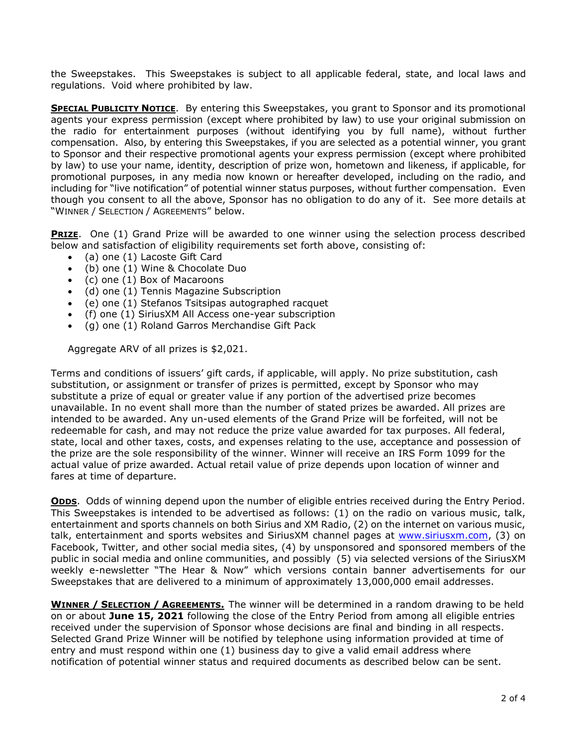the Sweepstakes. This Sweepstakes is subject to all applicable federal, state, and local laws and regulations. Void where prohibited by law.

**SPECIAL PUBLICITY NOTICE**. By entering this Sweepstakes, you grant to Sponsor and its promotional agents your express permission (except where prohibited by law) to use your original submission on the radio for entertainment purposes (without identifying you by full name), without further compensation. Also, by entering this Sweepstakes, if you are selected as a potential winner, you grant to Sponsor and their respective promotional agents your express permission (except where prohibited by law) to use your name, identity, description of prize won, hometown and likeness, if applicable, for promotional purposes, in any media now known or hereafter developed, including on the radio, and including for "live notification" of potential winner status purposes, without further compensation. Even though you consent to all the above, Sponsor has no obligation to do any of it. See more details at "WINNER / SELECTION / AGREEMENTS" below.

**PRIZE**. One (1) Grand Prize will be awarded to one winner using the selection process described below and satisfaction of eligibility requirements set forth above, consisting of:

- (a) one (1) Lacoste Gift Card
- (b) one (1) Wine & Chocolate Duo
- (c) one (1) Box of Macaroons
- (d) one (1) Tennis Magazine Subscription
- (e) one (1) Stefanos Tsitsipas autographed racquet
- (f) one (1) SiriusXM All Access one-year subscription
- (g) one (1) Roland Garros Merchandise Gift Pack

Aggregate ARV of all prizes is \$2,021.

Terms and conditions of issuers' gift cards, if applicable, will apply. No prize substitution, cash substitution, or assignment or transfer of prizes is permitted, except by Sponsor who may substitute a prize of equal or greater value if any portion of the advertised prize becomes unavailable. In no event shall more than the number of stated prizes be awarded. All prizes are intended to be awarded. Any un-used elements of the Grand Prize will be forfeited, will not be redeemable for cash, and may not reduce the prize value awarded for tax purposes. All federal, state, local and other taxes, costs, and expenses relating to the use, acceptance and possession of the prize are the sole responsibility of the winner. Winner will receive an IRS Form 1099 for the actual value of prize awarded. Actual retail value of prize depends upon location of winner and fares at time of departure.

**ODDS**. Odds of winning depend upon the number of eligible entries received during the Entry Period. This Sweepstakes is intended to be advertised as follows: (1) on the radio on various music, talk, entertainment and sports channels on both Sirius and XM Radio, (2) on the internet on various music, talk, entertainment and sports websites and SiriusXM channel pages at [www.siriusxm.com,](http://www.siriusxm.com/) (3) on Facebook, Twitter, and other social media sites, (4) by unsponsored and sponsored members of the public in social media and online communities, and possibly (5) via selected versions of the SiriusXM weekly e-newsletter "The Hear & Now" which versions contain banner advertisements for our Sweepstakes that are delivered to a minimum of approximately 13,000,000 email addresses.

**WINNER / SELECTION / AGREEMENTS.** The winner will be determined in a random drawing to be held on or about **June 15, 2021** following the close of the Entry Period from among all eligible entries received under the supervision of Sponsor whose decisions are final and binding in all respects. Selected Grand Prize Winner will be notified by telephone using information provided at time of entry and must respond within one (1) business day to give a valid email address where notification of potential winner status and required documents as described below can be sent.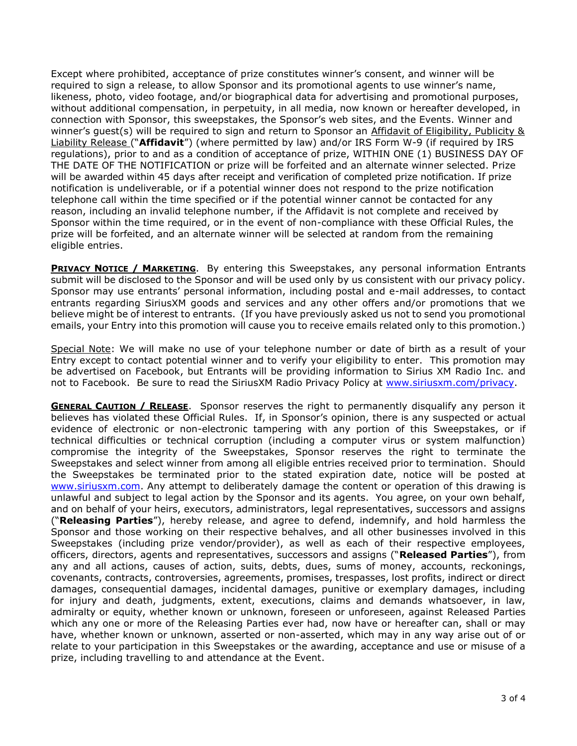Except where prohibited, acceptance of prize constitutes winner's consent, and winner will be required to sign a release, to allow Sponsor and its promotional agents to use winner's name, likeness, photo, video footage, and/or biographical data for advertising and promotional purposes, without additional compensation, in perpetuity, in all media, now known or hereafter developed, in connection with Sponsor, this sweepstakes, the Sponsor's web sites, and the Events. Winner and winner's guest(s) will be required to sign and return to Sponsor an Affidavit of Eligibility, Publicity & Liability Release ("**Affidavit**") (where permitted by law) and/or IRS Form W-9 (if required by IRS regulations), prior to and as a condition of acceptance of prize, WITHIN ONE (1) BUSINESS DAY OF THE DATE OF THE NOTIFICATION or prize will be forfeited and an alternate winner selected. Prize will be awarded within 45 days after receipt and verification of completed prize notification. If prize notification is undeliverable, or if a potential winner does not respond to the prize notification telephone call within the time specified or if the potential winner cannot be contacted for any reason, including an invalid telephone number, if the Affidavit is not complete and received by Sponsor within the time required, or in the event of non-compliance with these Official Rules, the prize will be forfeited, and an alternate winner will be selected at random from the remaining eligible entries.

**PRIVACY NOTICE / MARKETING**. By entering this Sweepstakes, any personal information Entrants submit will be disclosed to the Sponsor and will be used only by us consistent with our privacy policy. Sponsor may use entrants' personal information, including postal and e-mail addresses, to contact entrants regarding SiriusXM goods and services and any other offers and/or promotions that we believe might be of interest to entrants. (If you have previously asked us not to send you promotional emails, your Entry into this promotion will cause you to receive emails related only to this promotion.)

Special Note: We will make no use of your telephone number or date of birth as a result of your Entry except to contact potential winner and to verify your eligibility to enter. This promotion may be advertised on Facebook, but Entrants will be providing information to Sirius XM Radio Inc. and not to Facebook. Be sure to read the SiriusXM Radio Privacy Policy at [www.siriusxm.com/privacy.](http://www.siriusxm.com/privacy)

**GENERAL CAUTION / RELEASE**. Sponsor reserves the right to permanently disqualify any person it believes has violated these Official Rules. If, in Sponsor's opinion, there is any suspected or actual evidence of electronic or non-electronic tampering with any portion of this Sweepstakes, or if technical difficulties or technical corruption (including a computer virus or system malfunction) compromise the integrity of the Sweepstakes, Sponsor reserves the right to terminate the Sweepstakes and select winner from among all eligible entries received prior to termination. Should the Sweepstakes be terminated prior to the stated expiration date, notice will be posted at [www.siriusxm.com.](http://www.siriusxm.com/) Any attempt to deliberately damage the content or operation of this drawing is unlawful and subject to legal action by the Sponsor and its agents. You agree, on your own behalf, and on behalf of your heirs, executors, administrators, legal representatives, successors and assigns ("**Releasing Parties**"), hereby release, and agree to defend, indemnify, and hold harmless the Sponsor and those working on their respective behalves, and all other businesses involved in this Sweepstakes (including prize vendor/provider), as well as each of their respective employees, officers, directors, agents and representatives, successors and assigns ("**Released Parties**"), from any and all actions, causes of action, suits, debts, dues, sums of money, accounts, reckonings, covenants, contracts, controversies, agreements, promises, trespasses, lost profits, indirect or direct damages, consequential damages, incidental damages, punitive or exemplary damages, including for injury and death, judgments, extent, executions, claims and demands whatsoever, in law, admiralty or equity, whether known or unknown, foreseen or unforeseen, against Released Parties which any one or more of the Releasing Parties ever had, now have or hereafter can, shall or may have, whether known or unknown, asserted or non-asserted, which may in any way arise out of or relate to your participation in this Sweepstakes or the awarding, acceptance and use or misuse of a prize, including travelling to and attendance at the Event.